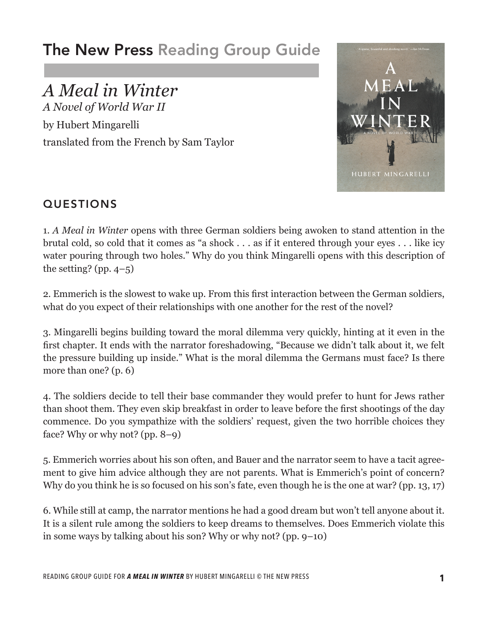# The New Press Reading Group Guide

# *A Meal in Winter*

*A Novel of World War II* by Hubert Mingarelli translated from the French by Sam Taylor



## QUESTIONS

1. *A Meal in Winter* opens with three German soldiers being awoken to stand attention in the brutal cold, so cold that it comes as "a shock . . . as if it entered through your eyes . . . like icy water pouring through two holes." Why do you think Mingarelli opens with this description of the setting? (pp.  $4-5$ )

2. Emmerich is the slowest to wake up. From this first interaction between the German soldiers, what do you expect of their relationships with one another for the rest of the novel?

3. Mingarelli begins building toward the moral dilemma very quickly, hinting at it even in the first chapter. It ends with the narrator foreshadowing, "Because we didn't talk about it, we felt the pressure building up inside." What is the moral dilemma the Germans must face? Is there more than one? (p. 6)

4. The soldiers decide to tell their base commander they would prefer to hunt for Jews rather than shoot them. They even skip breakfast in order to leave before the first shootings of the day commence. Do you sympathize with the soldiers' request, given the two horrible choices they face? Why or why not? (pp. 8–9)

5. Emmerich worries about his son often, and Bauer and the narrator seem to have a tacit agreement to give him advice although they are not parents. What is Emmerich's point of concern? Why do you think he is so focused on his son's fate, even though he is the one at war? (pp. 13, 17)

6. While still at camp, the narrator mentions he had a good dream but won't tell anyone about it. It is a silent rule among the soldiers to keep dreams to themselves. Does Emmerich violate this in some ways by talking about his son? Why or why not? (pp. 9–10)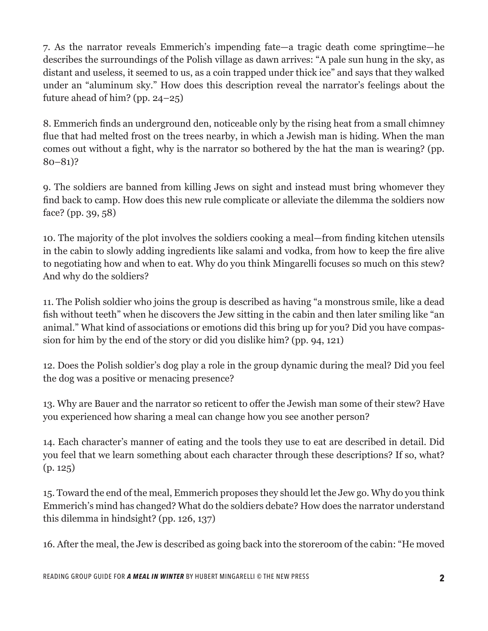7. As the narrator reveals Emmerich's impending fate—a tragic death come springtime—he describes the surroundings of the Polish village as dawn arrives: "A pale sun hung in the sky, as distant and useless, it seemed to us, as a coin trapped under thick ice" and says that they walked under an "aluminum sky." How does this description reveal the narrator's feelings about the future ahead of him? (pp. 24–25)

8. Emmerich finds an underground den, noticeable only by the rising heat from a small chimney flue that had melted frost on the trees nearby, in which a Jewish man is hiding. When the man comes out without a fight, why is the narrator so bothered by the hat the man is wearing? (pp. 80–81)?

9. The soldiers are banned from killing Jews on sight and instead must bring whomever they find back to camp. How does this new rule complicate or alleviate the dilemma the soldiers now face? (pp. 39, 58)

10. The majority of the plot involves the soldiers cooking a meal—from finding kitchen utensils in the cabin to slowly adding ingredients like salami and vodka, from how to keep the fire alive to negotiating how and when to eat. Why do you think Mingarelli focuses so much on this stew? And why do the soldiers?

11. The Polish soldier who joins the group is described as having "a monstrous smile, like a dead fish without teeth" when he discovers the Jew sitting in the cabin and then later smiling like "an animal." What kind of associations or emotions did this bring up for you? Did you have compassion for him by the end of the story or did you dislike him? (pp. 94, 121)

12. Does the Polish soldier's dog play a role in the group dynamic during the meal? Did you feel the dog was a positive or menacing presence?

13. Why are Bauer and the narrator so reticent to offer the Jewish man some of their stew? Have you experienced how sharing a meal can change how you see another person?

14. Each character's manner of eating and the tools they use to eat are described in detail. Did you feel that we learn something about each character through these descriptions? If so, what? (p. 125)

15. Toward the end of the meal, Emmerich proposes they should let the Jew go. Why do you think Emmerich's mind has changed? What do the soldiers debate? How does the narrator understand this dilemma in hindsight? (pp. 126, 137)

16. After the meal, the Jew is described as going back into the storeroom of the cabin: "He moved